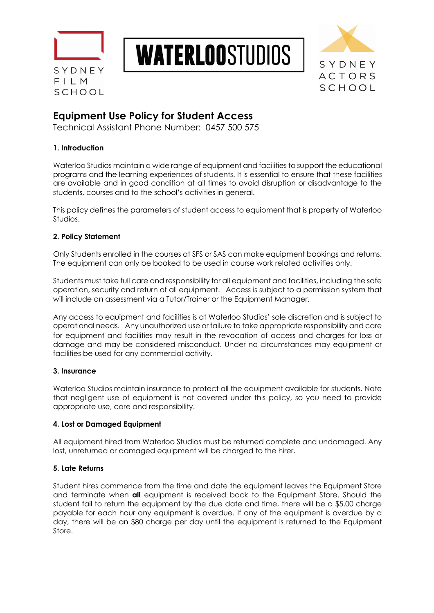





# **Equipment Use Policy for Student Access**

Technical Assistant Phone Number: 0457 500 575

# **1. Introduction**

Waterloo Studios maintain a wide range of equipment and facilities to support the educational programs and the learning experiences of students. It is essential to ensure that these facilities are available and in good condition at all times to avoid disruption or disadvantage to the students, courses and to the school's activities in general.

This policy defines the parameters of student access to equipment that is property of Waterloo Studios.

# **2. Policy Statement**

Only Students enrolled in the courses at SFS or SAS can make equipment bookings and returns. The equipment can only be booked to be used in course work related activities only.

Students must take full care and responsibility for all equipment and facilities, including the safe operation, security and return of all equipment. Access is subject to a permission system that will include an assessment via a Tutor/Trainer or the Equipment Manager.

Any access to equipment and facilities is at Waterloo Studios' sole discretion and is subject to operational needs. Any unauthorized use or failure to take appropriate responsibility and care for equipment and facilities may result in the revocation of access and charges for loss or damage and may be considered misconduct. Under no circumstances may equipment or facilities be used for any commercial activity.

## **3. Insurance**

Waterloo Studios maintain insurance to protect all the equipment available for students. Note that negligent use of equipment is not covered under this policy, so you need to provide appropriate use, care and responsibility.

## **4. Lost or Damaged Equipment**

All equipment hired from Waterloo Studios must be returned complete and undamaged. Any lost, unreturned or damaged equipment will be charged to the hirer.

# **5. Late Returns**

Student hires commence from the time and date the equipment leaves the Equipment Store and terminate when **all** equipment is received back to the Equipment Store. Should the student fail to return the equipment by the due date and time, there will be a \$5.00 charge payable for each hour any equipment is overdue. If any of the equipment is overdue by a day, there will be an \$80 charge per day until the equipment is returned to the Equipment Store.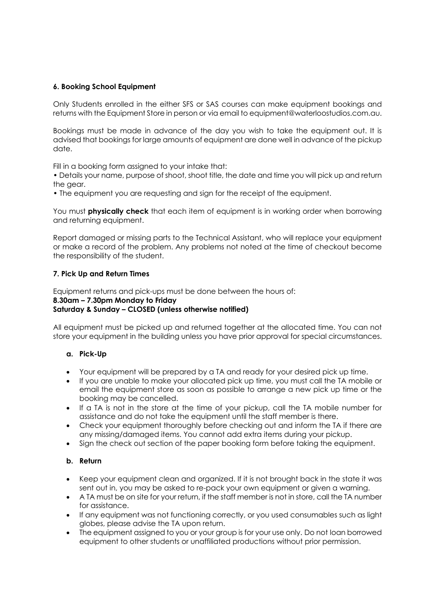### **6. Booking School Equipment**

Only Students enrolled in the either SFS or SAS courses can make equipment bookings and returns with the Equipment Store in person or via email to equipment@waterloostudios.com.au.

Bookings must be made in advance of the day you wish to take the equipment out. It is advised that bookings for large amounts of equipment are done well in advance of the pickup date.

Fill in a booking form assigned to your intake that:

• Details your name, purpose of shoot, shoot title, the date and time you will pick up and return the gear.

• The equipment you are requesting and sign for the receipt of the equipment.

You must **physically check** that each item of equipment is in working order when borrowing and returning equipment.

Report damaged or missing parts to the Technical Assistant, who will replace your equipment or make a record of the problem. Any problems not noted at the time of checkout become the responsibility of the student.

#### **7. Pick Up and Return Times**

Equipment returns and pick-ups must be done between the hours of:

# **8.30am – 7.30pm Monday to Friday**

## **Saturday & Sunday – CLOSED (unless otherwise notified)**

All equipment must be picked up and returned together at the allocated time. You can not store your equipment in the building unless you have prior approval for special circumstances.

#### **a. Pick-Up**

- Your equipment will be prepared by a TA and ready for your desired pick up time.
- If you are unable to make your allocated pick up time, you must call the TA mobile or email the equipment store as soon as possible to arrange a new pick up time or the booking may be cancelled.
- If a TA is not in the store at the time of your pickup, call the TA mobile number for assistance and do not take the equipment until the staff member is there.
- Check your equipment thoroughly before checking out and inform the TA if there are any missing/damaged items. You cannot add extra items during your pickup.
- Sign the check out section of the paper booking form before taking the equipment.

## **b. Return**

- Keep your equipment clean and organized. If it is not brought back in the state it was sent out in, you may be asked to re-pack your own equipment or given a warning.
- A TA must be on site for your return, if the staff member is not in store, call the TA number for assistance.
- If any equipment was not functioning correctly, or you used consumables such as light globes, please advise the TA upon return.
- The equipment assigned to you or your group is for your use only. Do not loan borrowed equipment to other students or unaffiliated productions without prior permission.